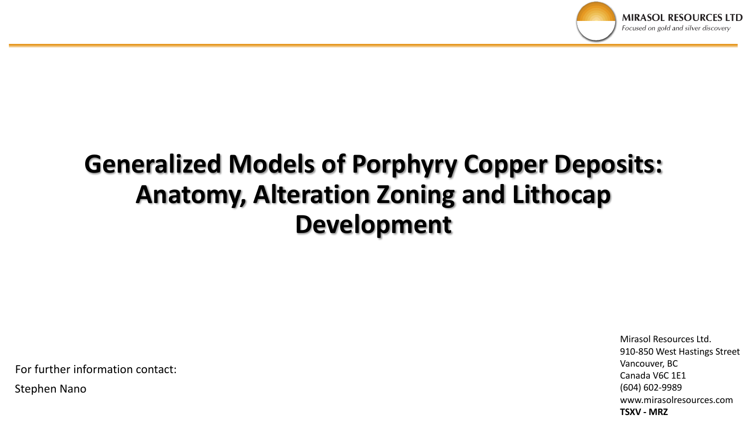

# **Generalized Models of Porphyry Copper Deposits: Anatomy, Alteration Zoning and Lithocap Development**

For further information contact:

Stephen Nano

Mirasol Resources Ltd. 910-850 West Hastings Street Vancouver, BC Canada V6C 1E1 (604) 602-9989 www.mirasolresources.com **TSXV - MRZ**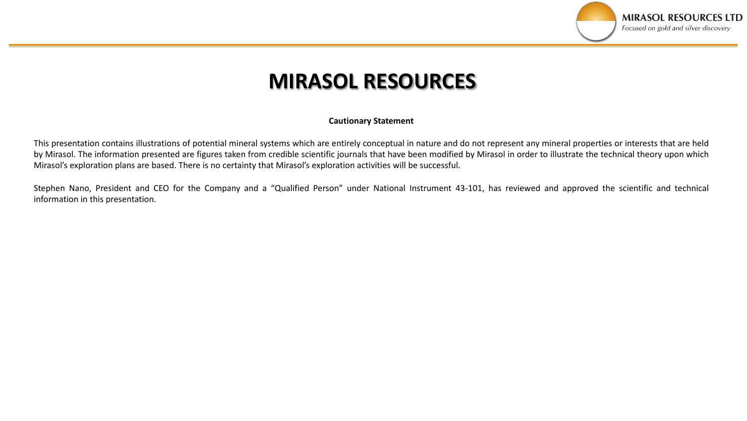

## **MIRASOL RESOURCES**

### **Cautionary Statement**

This presentation contains illustrations of potential mineral systems which are entirely conceptual in nature and do not represent any mineral properties or interests that are held by Mirasol. The information presented are figures taken from credible scientific journals that have been modified by Mirasol in order to illustrate the technical theory upon which Mirasol's exploration plans are based. There is no certainty that Mirasol's exploration activities will be successful.

Stephen Nano, President and CEO for the Company and a "Qualified Person" under National Instrument 43-101, has reviewed and approved the scientific and technical information in this presentation.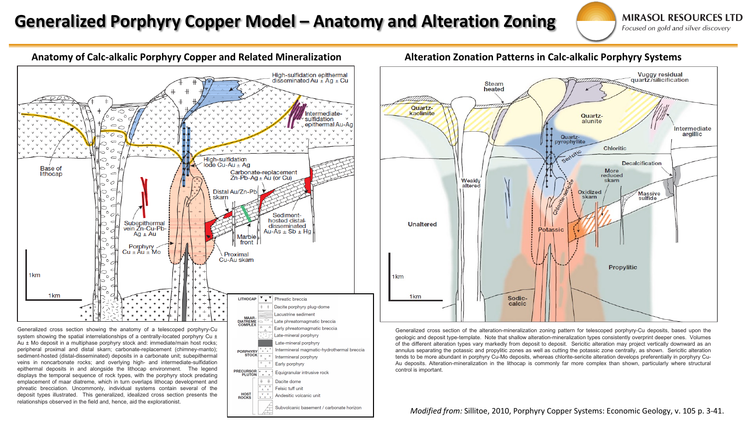### Generalized Porphyry Copper Model – Anatomy and Alteration Zoning

**MIRASOL RESOURCES LTD** Focused on gold and silver discovery



system showing the spatial interrelationships of a centrally-located porphyry Cu  $\pm$ Au ± Mo deposit in a multiphase porphyry stock and: immediate/main host rocks; peripheral proximal and distal skarn; carbonate-replacement (chimney-manto); sediment-hosted (distal-disseminated) deposits in a carbonate unit; subepithermal veins in noncarbonate rocks; and overlying high- and intermediate-sulfidation epithermal deposits in and alongside the lithocap environment. The legend displays the temporal sequence of rock types, with the porphyry stock predating emplacement of maar diatreme, which in turn overlaps lithocap development and phreatic brecciation. Uncommonly, individual systems contain several of the deposit types illustrated. This generalized, idealized cross section presents the relationships observed in the field and, hence, aid the explorationist.



**Vuggy residual** quartz/silicification **Steam** heated Quartzkaolinite Quartzalunite Intermediate argillic Quartz-<br>pyrophyllite **Chloritic** Sericitic **Decalcification More** reduced skarn Weakly altered Oxidized **Massive** skarn sulfide **Unaltered Potassic Propylitic** 1<sub>km</sub> 1<sub>km</sub> Sodiccalcic

Generalized cross section of the alteration-mineralization zoning pattern for telescoped porphyry-Cu deposits, based upon the geologic and deposit type-template. Note that shallow alteration-mineralization types consistently overprint deeper ones. Volumes of the different alteration types vary markedly from deposit to deposit. Sericitic alteration may project vertically downward as an annulus separating the potassic and propylitic zones as well as cutting the potassic zone centrally, as shown. Sericitic alteration tends to be more abundant in porphyry Cu-Mo deposits, whereas chlorite-sericite alteration develops preferentially in porphyry Cu-Au deposits. Alteration-mineralization in the lithocap is commonly far more complex than shown, particularly where structural control is important.

#### *Modified from:* Sillitoe, 2010, Porphyry Copper Systems: Economic Geology, v. 105 p. 3-41.

### **Anatomy of Calc-alkalic Porphyry Copper and Related Mineralization Alteration Zonation Patterns in Calc-alkalic Porphyry Systems**